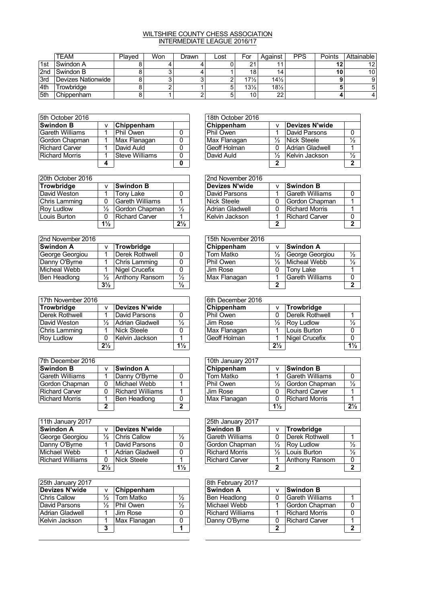## WILTSHIRE COUNTY CHESS ASSOCIATION INTERMEDIATE LEAGUE 2016/17

|     | TEAM               | Plaved | Won | Drawn | Lost | For             | Against         | PPS | Points | Attainable      |
|-----|--------------------|--------|-----|-------|------|-----------------|-----------------|-----|--------|-----------------|
| 1st | Swindon A          |        |     |       |      | ິ               |                 |     |        | 12 <sup>2</sup> |
| 2nd | Swindon B          |        |     |       |      | 18              | 14.             |     |        | 10 <sup>1</sup> |
| 3rd | Devizes Nationwide |        |     |       |      | $17\frac{1}{2}$ | $14\frac{1}{2}$ |     |        | 9               |
| 4th | Trowbridge         |        |     |       |      | $13\frac{1}{2}$ | $18\frac{1}{2}$ |     |        | 5               |
| 5th | Chippenham         |        |     |       |      | 10              | 22              |     |        | 4               |

| 5th October 2016 |                   |   | 18th October 2016 |               |                 |  |  |
|------------------|-------------------|---|-------------------|---------------|-----------------|--|--|
| <b>Swindon B</b> | <b>Chippenham</b> |   | Chippenham        |               | Devizes N'wide  |  |  |
| Gareth Williams  | Phil Owen         | 0 | Phil Owen         |               | David Parsons   |  |  |
| Gordon Chapman   | Max Flanagan      |   | Max Flanagan      | $\frac{1}{2}$ | Nick Steele     |  |  |
| Richard Carver   | David Auld        | 0 | Geoff Holman      |               | Adrian Gladwell |  |  |
| Richard Morris   | Steve Williams    | 0 | David Auld        | $\frac{1}{2}$ | Kelvin Jackson  |  |  |
|                  |                   | 0 |                   |               |                 |  |  |

| 20th October 2016    |                |                 |                | 2nd November 2016 |   |               |  |
|----------------------|----------------|-----------------|----------------|-------------------|---|---------------|--|
| Trowbridge           |                | Swindon B       |                | Devizes N'wide    |   | ∣Swindon B    |  |
| David Weston         |                | Tony Lake       | 0              | David Parsons     |   | ∣Gareth Willi |  |
| <b>Chris Lamming</b> | 0              | Gareth Williams |                | Nick Steele       | 0 | Gordon Cha    |  |
| <b>Roy Ludlow</b>    | ⅓              | Gordon Chapman  | $\frac{1}{2}$  | Adrian Gladwell   | 0 | Richard Mor   |  |
| Louis Burton         | 0              | Richard Carver  |                | Kelvin Jackson    |   | Richard Car   |  |
|                      | $1\frac{1}{2}$ |                 | $2\frac{1}{2}$ |                   | ◠ |               |  |

| 2nd November 2016   |       |                   |               | 15th November 2016 |   |              |  |
|---------------------|-------|-------------------|---------------|--------------------|---|--------------|--|
| <b>Swindon A</b>    |       | <b>Trowbridge</b> |               | Chippenham         |   | Swindon A    |  |
| George Georgiou     |       | Derek Rothwell    | 0             | Tom Matko          | ⅓ | George Gec   |  |
| Danny O'Byrne       |       | Chris Lamming     | 0             | Phil Owen          | ⅓ | Micheal We   |  |
| Micheal Webb        |       | Nigel Crucefix    | 0             | Jim Rose           | 0 | Tony Lake    |  |
| <b>Ben Headlong</b> | ⅓     | Anthony Ransom    | $\frac{1}{2}$ | Max Flanagan       |   | Gareth Willi |  |
|                     | $3\%$ |                   | $\frac{1}{2}$ |                    |   |              |  |

| 17th November 2016    |                |                 |                | 6th December 2016 |                |                   |
|-----------------------|----------------|-----------------|----------------|-------------------|----------------|-------------------|
| Trowbridge            | Λ              | Devizes N'wide  |                | Chippenham        |                | Trowbridge        |
| <b>Derek Rothwell</b> |                | David Parsons   | 0              | Phil Owen         |                | Derelk Rothy      |
| David Weston          | ⅓              | Adrian Gladwell | $\frac{1}{2}$  | ∣Jim Rose         | $\frac{1}{2}$  | <b>Roy Ludlow</b> |
| Chris Lamming         |                | Nick Steele     | 0              | Max Flanagan      |                | Louis Burton      |
| <b>Roy Ludlow</b>     | 0              | Kelvin Jackson  | 4              | Geoff Holman      |                | Nigel Crucef      |
|                       | $2\frac{1}{2}$ |                 | $1\frac{1}{2}$ |                   | $2\frac{1}{2}$ |                   |

| 7th December 2016     |   |                  |              | 10th January 2017 |                |                    |
|-----------------------|---|------------------|--------------|-------------------|----------------|--------------------|
| <b>Swindon B</b>      | v | <b>Swindon A</b> |              | Chippenham        | v              | <b>Swindon B</b>   |
| Gareth Williams       |   | Danny O'Byrne    | 0            | Tom Matko         |                | Gareth Willi       |
| Gordon Chapman        | 0 | Michael Webb     |              | Phil Owen         | $\frac{1}{2}$  | Gordon Cha         |
| <b>Richard Carver</b> | 0 | Richard Williams |              | Jim Rose          | 0              | ∣Richard Car       |
| <b>Richard Morris</b> |   | Ben Headlong     | 0            | Max Flanagan      | 0              | <b>Richard Mor</b> |
|                       | າ |                  | $\mathbf{2}$ |                   | $1\frac{1}{2}$ |                    |

| 11th January 2017 |                |                     |                | 25th January 2017      |               |                       |               |
|-------------------|----------------|---------------------|----------------|------------------------|---------------|-----------------------|---------------|
| <b>Swindon A</b>  |                | Devizes N'wide      |                | <b>Swindon B</b>       |               | Trowbridge            |               |
| George Georgiou   | ⅓              | <b>Chris Callow</b> | $\frac{1}{2}$  | <b>Gareth Williams</b> |               | Derek Rothwell        |               |
| Danny O'Byrne     |                | David Parsons       | 0              | Gordon Chapman         | $\frac{1}{2}$ | Roy Ludlow            | $\frac{1}{2}$ |
| Michael Webb      |                | Adrian Gladwell     | $\Omega$       | <b>Richard Morris</b>  | $\frac{1}{2}$ | Louis Burton          | $\frac{1}{2}$ |
| Richard Williams  | 0              | Nick Steele         |                | <b>Richard Carver</b>  |               | <b>Anthony Ransom</b> | 0             |
|                   | $2\frac{1}{2}$ |                     | $1\frac{1}{2}$ |                        | າ             |                       | 2             |

| v             | Chippenham   |               | Swindon A |   | Swindon B                                                                                     |
|---------------|--------------|---------------|-----------|---|-----------------------------------------------------------------------------------------------|
| ⅓             | Tom Matko    | $\frac{1}{2}$ |           | 0 | Gareth Willi                                                                                  |
| $\frac{1}{2}$ | Phil Owen    | ⅓             |           |   | Gordon Cha                                                                                    |
|               | Jim Rose     | 0             |           |   | Richard Mor                                                                                   |
|               | Max Flanagan | 0             |           | 0 | Richard Car                                                                                   |
| 3             |              |               |           | 2 |                                                                                               |
|               |              |               |           |   | 8th February 2017<br>Ben Headlong<br>Michael Webb<br><b>Richard Williams</b><br>Danny O'Byrne |

| 5th October 2016 |   |                |   | 18th October 2016 |          |                 |  |
|------------------|---|----------------|---|-------------------|----------|-----------------|--|
| Swindon B        | v | Chippenham     |   | Chippenham        |          | Devizes N'wide  |  |
| Gareth Williams  |   | Phil Owen      |   | Phil Owen         |          | David Parsons   |  |
| Gordon Chapman   |   | Max Flanagan   |   | Max Flanagan      | ⅓        | Nick Steele     |  |
| Richard Carver   |   | David Auld     |   | Geoff Holman      | $\Omega$ | Adrian Gladwell |  |
| Richard Morris   |   | Steve Williams |   | David Auld        | ⅓        | Kelvin Jackson  |  |
|                  |   |                | 0 |                   |          |                 |  |

| 20th October 2016 |                |                  |                | 2nd November 2016     |   |                   |  |  |  |  |
|-------------------|----------------|------------------|----------------|-----------------------|---|-------------------|--|--|--|--|
| Trowbridge        |                | <b>Swindon B</b> |                | <b>Devizes N'wide</b> |   | <b>Swindon B</b>  |  |  |  |  |
| David Weston      |                | Tony Lake        |                | David Parsons         |   | l Gareth Williams |  |  |  |  |
| Chris Lamming     | 0              | lGareth Williams |                | Nick Steele           | 0 | Gordon Chapman    |  |  |  |  |
| Rov Ludlow        | ⅓              | Gordon Chapman   | $\frac{1}{2}$  | Adrian Gladwell       | 0 | Richard Morris    |  |  |  |  |
| Louis Burton      | 0              | Richard Carver   |                | Kelvin Jackson        |   | Richard Carver    |  |  |  |  |
|                   | $1\frac{1}{2}$ |                  | $2\frac{1}{2}$ |                       | ◠ |                   |  |  |  |  |

| 2nd November 2016 |                |                |               | 15th November 2016 |               |                   |  |
|-------------------|----------------|----------------|---------------|--------------------|---------------|-------------------|--|
| Swindon A         |                | Trowbridge     |               | Chippenham         | v             | <b>Swindon A</b>  |  |
| George Georgiou   |                | Derek Rothwell | $\Omega$      | Tom Matko          | $\frac{1}{2}$ | George Georgiou   |  |
| Danny O'Byrne     |                | Chris Lamming  |               | Phil Owen          | $\frac{1}{2}$ | Micheal Webb      |  |
| Micheal Webb      |                | Nigel Crucefix |               | Jim Rose           |               | Tony Lake         |  |
| Ben Headlong      | ⅓              | Anthony Ransom | $\frac{1}{2}$ | Max Flanagan       |               | l Gareth Williams |  |
|                   | $3\frac{1}{2}$ |                | $\frac{1}{2}$ |                    |               |                   |  |

| 17th November 2016 |                |                 |                | 6th December 2016 |                |                   |                |
|--------------------|----------------|-----------------|----------------|-------------------|----------------|-------------------|----------------|
| Trowbridge         |                | Devizes N'wide  |                | Chippenham        | $\mathsf{v}$   | Trowbridge        |                |
| Derek Rothwell     |                | David Parsons   |                | ∣Phil Owen        |                | Derelk Rothwell   |                |
| David Weston       | ⅓              | Adrian Gladwell | $\frac{1}{2}$  | ∣Jim Rose         | $\frac{1}{2}$  | <b>Rov Ludlow</b> |                |
| Chris Lamming      |                | Nick Steele     |                | Max Flanagan      |                | Louis Burton      |                |
| Rov Ludlow         | 0              | Kelvin Jackson  |                | Geoff Holman      |                | Nigel Crucefix    |                |
|                    | $2\frac{1}{2}$ |                 | $1\frac{1}{2}$ |                   | $2\frac{1}{2}$ |                   | $1\frac{1}{2}$ |

| 7th December 2016     |   |                  |          | 10th January 2017 |                |                  |                |  |  |
|-----------------------|---|------------------|----------|-------------------|----------------|------------------|----------------|--|--|
| Swindon B             | ν | <b>Swindon A</b> |          | Chippenham        | v              | <b>Swindon B</b> |                |  |  |
| Gareth Williams       |   | Danny O'Byrne    | $\Omega$ | Tom Matko         |                | Gareth Williams  |                |  |  |
| Gordon Chapman        | 0 | Michael Webb     |          | Phil Owen         | $\frac{1}{2}$  | Gordon Chapman   | $\frac{1}{2}$  |  |  |
| Richard Carver        | 0 | Richard Williams |          | Jim Rose          | 0              | Richard Carver   |                |  |  |
| <b>Richard Morris</b> |   | Ben Headlong     |          | Max Flanagan      | 0              | Richard Morris   |                |  |  |
|                       | ◠ |                  | ົ        |                   | $1\frac{1}{2}$ |                  | $2\frac{1}{2}$ |  |  |

| 11th January 2017 |                |                 |                | 25th January 2017 |               |                   |   |  |  |  |  |  |  |
|-------------------|----------------|-----------------|----------------|-------------------|---------------|-------------------|---|--|--|--|--|--|--|
| Swindon A         | ۷              | Devizes N'wide  |                | <b>Swindon B</b>  |               | Trowbridge        |   |  |  |  |  |  |  |
| George Georgiou   | ⅓              | Chris Callow    | $\frac{1}{2}$  | lGareth Williams  | $\Omega$      | Derek Rothwell    |   |  |  |  |  |  |  |
| Danny O'Byrne     |                | David Parsons   |                | Gordon Chapman    | $\frac{1}{2}$ | <b>Rov Ludlow</b> |   |  |  |  |  |  |  |
| Michael Webb      |                | Adrian Gladwell | $\cap$         | Richard Morris    | ⅓             | Louis Burton      |   |  |  |  |  |  |  |
| Richard Williams  | 0              | Nick Steele     |                | Richard Carver    |               | Anthony Ransom    |   |  |  |  |  |  |  |
|                   | $2\frac{1}{2}$ |                 | $1\frac{1}{2}$ |                   | ◠             |                   | ◠ |  |  |  |  |  |  |

| 25th January 2017 |               |              |               | 8th February 2017 |   |                       |  |
|-------------------|---------------|--------------|---------------|-------------------|---|-----------------------|--|
| Devizes N'wide    | v             | Chippenham   |               | <b>Swindon A</b>  |   | Swindon B             |  |
| Chris Callow      | ⅓             | Tom Matko    | $\frac{1}{2}$ | Ben Headlong      | 0 | ∣Gareth Williams      |  |
| David Parsons     | $\frac{1}{2}$ | Phil Owen    | $\frac{1}{2}$ | Michael Webb      |   | Gordon Chapman        |  |
| Adrian Gladwell   |               | Jim Rose     | 0             | Richard Williams  |   | <b>Richard Morris</b> |  |
| Kelvin Jackson    |               | Max Flanagan |               | Danny O'Byrne     | 0 | Richard Carver        |  |
|                   | ≏             |              |               |                   |   |                       |  |